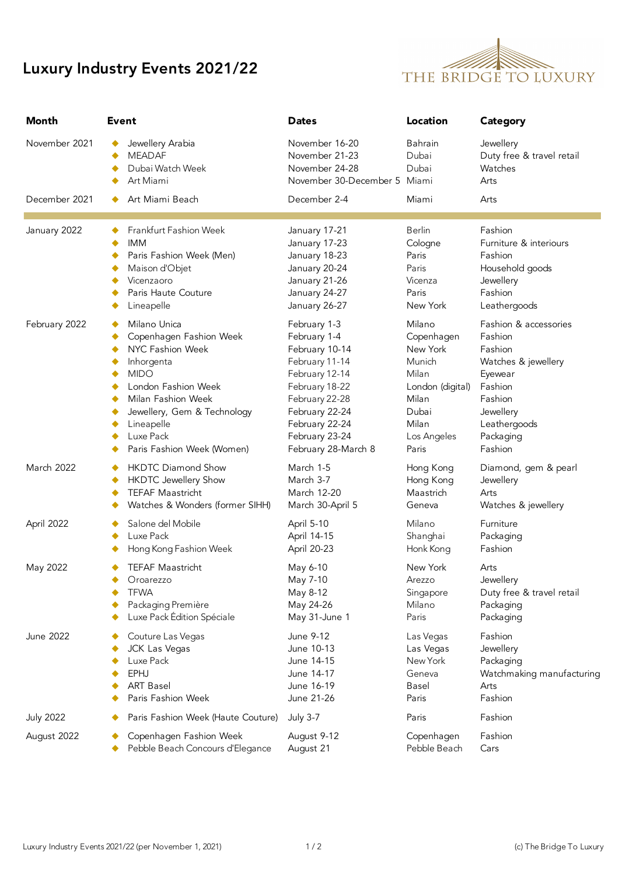## Luxury Industry Events 2021/22



| Month            | Event                                                              | <b>Dates</b>                                                                       | Location                  | <b>Category</b>                                           |
|------------------|--------------------------------------------------------------------|------------------------------------------------------------------------------------|---------------------------|-----------------------------------------------------------|
| November 2021    | Jewellery Arabia<br><b>MEADAF</b><br>Dubai Watch Week<br>Art Miami | November 16-20<br>November 21-23<br>November 24-28<br>November 30-December 5 Miami | Bahrain<br>Dubai<br>Dubai | Jewellery<br>Duty free & travel retail<br>Watches<br>Arts |
| December 2021    | Art Miami Beach                                                    | December 2-4                                                                       | Miami                     | Arts                                                      |
| January 2022     | Frankfurt Fashion Week                                             | January 17-21                                                                      | <b>Berlin</b>             | Fashion                                                   |
|                  | <b>IMM</b>                                                         | January 17-23                                                                      | Cologne                   | Furniture & interiours                                    |
|                  | Paris Fashion Week (Men)                                           | January 18-23                                                                      | Paris                     | Fashion                                                   |
|                  | Maison d'Objet                                                     | January 20-24                                                                      | Paris                     | Household goods                                           |
|                  | Vicenzaoro                                                         | January 21-26                                                                      | Vicenza                   | Jewellery                                                 |
|                  | Paris Haute Couture                                                | January 24-27                                                                      | Paris                     | Fashion                                                   |
|                  | Lineapelle                                                         | January 26-27                                                                      | New York                  | Leathergoods                                              |
| February 2022    | Milano Unica                                                       | February 1-3                                                                       | Milano                    | Fashion & accessories                                     |
|                  | Copenhagen Fashion Week                                            | February 1-4                                                                       | Copenhagen                | Fashion                                                   |
|                  | NYC Fashion Week                                                   | February 10-14                                                                     | New York                  | Fashion                                                   |
|                  | Inhorgenta                                                         | February 11-14                                                                     | Munich                    | Watches & jewellery                                       |
|                  | <b>MIDO</b>                                                        | February 12-14                                                                     | Milan                     | Eyewear                                                   |
|                  | London Fashion Week                                                | February 18-22                                                                     | London (digital)          | Fashion                                                   |
|                  | Milan Fashion Week                                                 | February 22-28                                                                     | Milan                     | Fashion                                                   |
|                  | Jewellery, Gem & Technology                                        | February 22-24                                                                     | Dubai                     | Jewellery                                                 |
|                  | Lineapelle                                                         | February 22-24                                                                     | Milan                     | Leathergoods                                              |
|                  | Luxe Pack                                                          | February 23-24                                                                     | Los Angeles               | Packaging                                                 |
|                  | Paris Fashion Week (Women)                                         | February 28-March 8                                                                | Paris                     | Fashion                                                   |
| March 2022       | <b>HKDTC Diamond Show</b>                                          | March 1-5                                                                          | Hong Kong                 | Diamond, gem & pearl                                      |
|                  | <b>HKDTC Jewellery Show</b>                                        | March 3-7                                                                          | Hong Kong                 | Jewellery                                                 |
|                  | <b>TEFAF Maastricht</b>                                            | March 12-20                                                                        | Maastrich                 | Arts                                                      |
|                  | Watches & Wonders (former SIHH)                                    | March 30-April 5                                                                   | Geneva                    | Watches & jewellery                                       |
| April 2022       | Salone del Mobile                                                  | April 5-10                                                                         | Milano                    | Furniture                                                 |
|                  | Luxe Pack                                                          | April 14-15                                                                        | Shanghai                  | Packaging                                                 |
|                  | Hong Kong Fashion Week                                             | April 20-23                                                                        | Honk Kong                 | Fashion                                                   |
| May 2022         | <b>TEFAF Maastricht</b>                                            | May 6-10                                                                           | New York                  | Arts                                                      |
|                  | Oroarezzo                                                          | May 7-10                                                                           | Arezzo                    | Jewellery                                                 |
|                  | <b>TFWA</b>                                                        | May 8-12                                                                           | Singapore                 | Duty free & travel retail                                 |
|                  | Packaging Première                                                 | May 24-26                                                                          | Milano                    | Packaging                                                 |
|                  | Luxe Pack Édition Spéciale                                         | May 31-June 1                                                                      | Paris                     | Packaging                                                 |
| <b>June 2022</b> | Couture Las Vegas                                                  | June 9-12                                                                          | Las Vegas                 | Fashion                                                   |
|                  | JCK Las Vegas                                                      | June 10-13                                                                         | Las Vegas                 | Jewellery                                                 |
|                  | Luxe Pack                                                          | June 14-15                                                                         | New York                  | Packaging                                                 |
|                  | <b>EPHJ</b>                                                        | June 14-17                                                                         | Geneva                    | Watchmaking manufacturing                                 |
|                  | <b>ART Basel</b>                                                   | June 16-19                                                                         | <b>Basel</b>              | Arts                                                      |
|                  | Paris Fashion Week                                                 | June 21-26                                                                         | Paris                     | Fashion                                                   |
| <b>July 2022</b> | Paris Fashion Week (Haute Couture)                                 | <b>July 3-7</b>                                                                    | Paris                     | Fashion                                                   |
| August 2022      | Copenhagen Fashion Week                                            | August 9-12                                                                        | Copenhagen                | Fashion                                                   |
|                  | Pebble Beach Concours d'Elegance                                   | August 21                                                                          | Pebble Beach              | Cars                                                      |